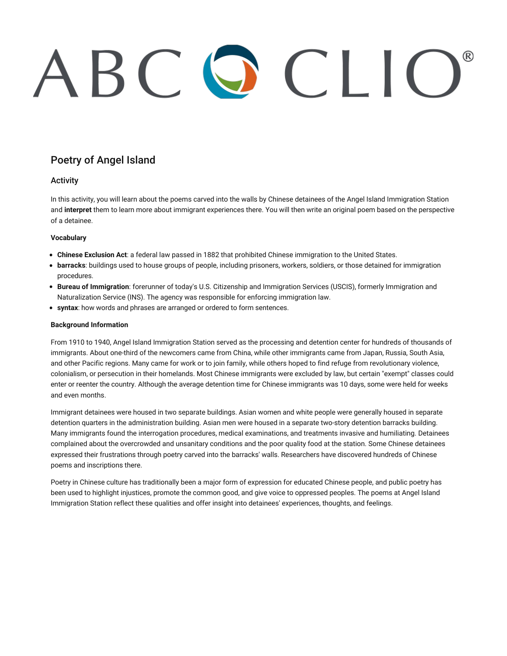# ABC Q CLIO

### Poetry of Angel Island

#### Activity

In this activity, you will learn about the poems carved into the walls by Chinese detainees of the Angel Island Immigration Station and **interpret** them to learn more about immigrant experiences there. You will then write an original poem based on the perspective of a detainee.

#### **Vocabulary**

- **Chinese Exclusion Act**: a federal law passed in 1882 that prohibited Chinese immigration to the United States.
- **barracks**: buildings used to house groups of people, including prisoners, workers, soldiers, or those detained for immigration procedures.
- **Bureau of Immigration**: forerunner of today's U.S. Citizenship and Immigration Services (USCIS), formerly Immigration and Naturalization Service (INS). The agency was responsible for enforcing immigration law.
- **syntax**: how words and phrases are arranged or ordered to form sentences.

#### **Background Information**

From 1910 to 1940, Angel Island Immigration Station served as the processing and detention center for hundreds of thousands of immigrants. About one-third of the newcomers came from China, while other immigrants came from Japan, Russia, South Asia, and other Pacific regions. Many came for work or to join family, while others hoped to find refuge from revolutionary violence, colonialism, or persecution in their homelands. Most Chinese immigrants were excluded by law, but certain "exempt" classes could enter or reenter the country. Although the average detention time for Chinese immigrants was 10 days, some were held for weeks and even months.

Immigrant detainees were housed in two separate buildings. Asian women and white people were generally housed in separate detention quarters in the administration building. Asian men were housed in a separate two-story detention barracks building. Many immigrants found the interrogation procedures, medical examinations, and treatments invasive and humiliating. Detainees complained about the overcrowded and unsanitary conditions and the poor quality food at the station. Some Chinese detainees expressed their frustrations through poetry carved into the barracks' walls. Researchers have discovered hundreds of Chinese poems and inscriptions there.

Poetry in Chinese culture has traditionally been a major form of expression for educated Chinese people, and public poetry has been used to highlight injustices, promote the common good, and give voice to oppressed peoples. The poems at Angel Island Immigration Station reflect these qualities and offer insight into detainees' experiences, thoughts, and feelings.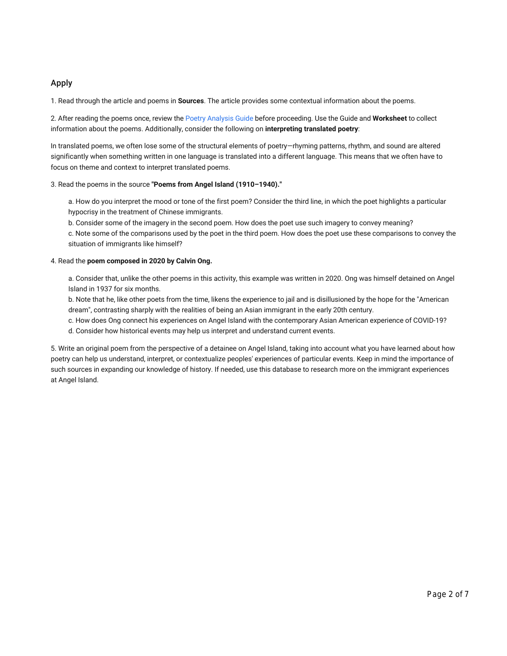#### Apply

1. Read through the article and poems in **Sources**. The article provides some contextual information about the poems.

2. After reading the poems once, review the [Poetry Analysis Guide](http://stgasianamerican.abc-clio.com/Search/Display/2279822?webSiteCode=SLN_ASIANAM&token=076D66A6EA20B95CAC08AEB41D7804AC&casError=False) before proceeding. Use the Guide and **Worksheet** to collect information about the poems. Additionally, consider the following on **interpreting translated poetry**:

In translated poems, we often lose some of the structural elements of poetry—rhyming patterns, rhythm, and sound are altered significantly when something written in one language is translated into a different language. This means that we often have to focus on theme and context to interpret translated poems.

3. Read the poems in the source **"Poems from Angel Island (1910–1940)."**

a. How do you interpret the mood or tone of the first poem? Consider the third line, in which the poet highlights a particular hypocrisy in the treatment of Chinese immigrants.

b. Consider some of the imagery in the second poem. How does the poet use such imagery to convey meaning?

c. Note some of the comparisons used by the poet in the third poem. How does the poet use these comparisons to convey the situation of immigrants like himself?

#### 4. Read the **poem composed in 2020 by Calvin Ong.**

a. Consider that, unlike the other poems in this activity, this example was written in 2020. Ong was himself detained on Angel Island in 1937 for six months.

b. Note that he, like other poets from the time, likens the experience to jail and is disillusioned by the hope for the "American dream", contrasting sharply with the realities of being an Asian immigrant in the early 20th century.

c. How does Ong connect his experiences on Angel Island with the contemporary Asian American experience of COVID-19? d. Consider how historical events may help us interpret and understand current events.

5. Write an original poem from the perspective of a detainee on Angel Island, taking into account what you have learned about how poetry can help us understand, interpret, or contextualize peoples' experiences of particular events. Keep in mind the importance of such sources in expanding our knowledge of history. If needed, use this database to research more on the immigrant experiences at Angel Island.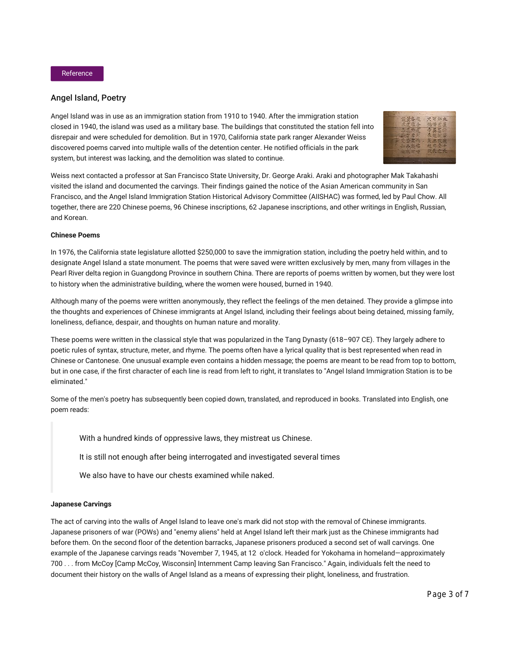#### Angel Island, Poetry

Angel Island was in use as an immigration station from 1910 to 1940. After the immigration station closed in 1940, the island was used as a military base. The buildings that constituted the station fell into disrepair and were scheduled for demolition. But in 1970, California state park ranger Alexander Weiss discovered poems carved into multiple walls of the detention center. He notified officials in the park system, but interest was lacking, and the demolition was slated to continue.

Weiss next contacted a professor at San Francisco State University, Dr. George Araki. Araki and photographer Mak Takahashi visited the island and documented the carvings. Their findings gained the notice of the Asian American community in San Francisco, and the Angel Island Immigration Station Historical Advisory Committee (AIISHAC) was formed, led by Paul Chow. All together, there are 220 Chinese poems, 96 Chinese inscriptions, 62 Japanese inscriptions, and other writings in English, Russian, and Korean.

#### **Chinese Poems**

In 1976, the California state legislature allotted \$250,000 to save the immigration station, including the poetry held within, and to designate Angel Island a state monument. The poems that were saved were written exclusively by men, many from villages in the Pearl River delta region in Guangdong Province in southern China. There are reports of poems written by women, but they were lost to history when the administrative building, where the women were housed, burned in 1940.

Although many of the poems were written anonymously, they reflect the feelings of the men detained. They provide a glimpse into the thoughts and experiences of Chinese immigrants at Angel Island, including their feelings about being detained, missing family, loneliness, defiance, despair, and thoughts on human nature and morality.

These poems were written in the classical style that was popularized in the Tang Dynasty (618–907 CE). They largely adhere to poetic rules of syntax, structure, meter, and rhyme. The poems often have a lyrical quality that is best represented when read in Chinese or Cantonese. One unusual example even contains a hidden message; the poems are meant to be read from top to bottom, but in one case, if the first character of each line is read from left to right, it translates to "Angel Island Immigration Station is to be eliminated."

Some of the men's poetry has subsequently been copied down, translated, and reproduced in books. Translated into English, one poem reads:

With a hundred kinds of oppressive laws, they mistreat us Chinese.

It is still not enough after being interrogated and investigated several times

We also have to have our chests examined while naked.

#### **Japanese Carvings**

The act of carving into the walls of Angel Island to leave one's mark did not stop with the removal of Chinese immigrants. Japanese prisoners of war (POWs) and "enemy aliens" held at Angel Island left their mark just as the Chinese immigrants had before them. On the second floor of the detention barracks, Japanese prisoners produced a second set of wall carvings. One example of the Japanese carvings reads "November 7, 1945, at 12 o'clock. Headed for Yokohama in homeland—approximately 700 . . . from McCoy [Camp McCoy, Wisconsin] Internment Camp leaving San Francisco." Again, individuals felt the need to document their history on the walls of Angel Island as a means of expressing their plight, loneliness, and frustration.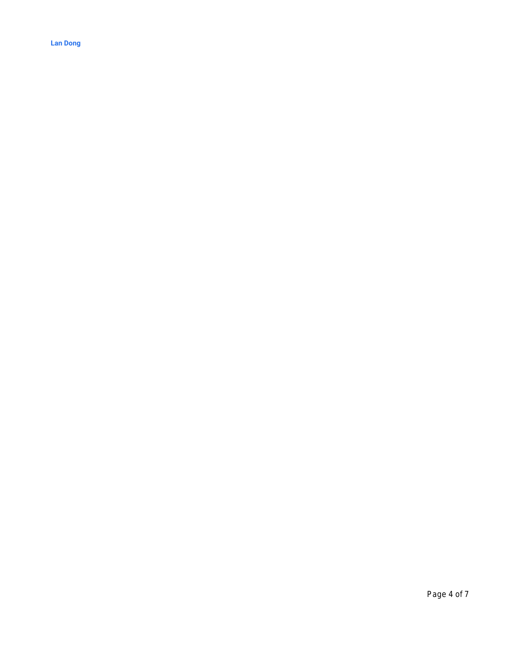**Lan Dong**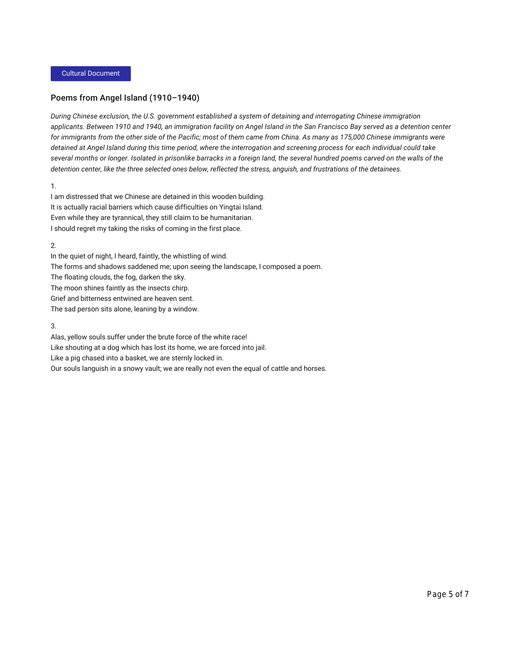#### Poems from Angel Island (1910–1940)

*During Chinese exclusion, the U.S. government established a system of detaining and interrogating Chinese immigration applicants. Between 1910 and 1940, an immigration facility on Angel Island in the San Francisco Bay served as a detention center for immigrants from the other side of the Pacific; most of them came from China. As many as 175,000 Chinese immigrants were detained at Angel Island during this time period, where the interrogation and screening process for each individual could take several months or longer. Isolated in prisonlike barracks in a foreign land, the several hundred poems carved on the walls of the detention center, like the three selected ones below, reflected the stress, anguish, and frustrations of the detainees.*

1.

I am distressed that we Chinese are detained in this wooden building. It is actually racial barriers which cause difficulties on Yingtai Island. Even while they are tyrannical, they still claim to be humanitarian. I should regret my taking the risks of coming in the first place.

#### 2.

In the quiet of night, I heard, faintly, the whistling of wind. The forms and shadows saddened me; upon seeing the landscape, I composed a poem. The floating clouds, the fog, darken the sky. The moon shines faintly as the insects chirp. Grief and bitterness entwined are heaven sent. The sad person sits alone, leaning by a window.

#### 3.

Alas, yellow souls suffer under the brute force of the white race! Like shouting at a dog which has lost its home, we are forced into jail. Like a pig chased into a basket, we are sternly locked in. Our souls languish in a snowy vault; we are really not even the equal of cattle and horses.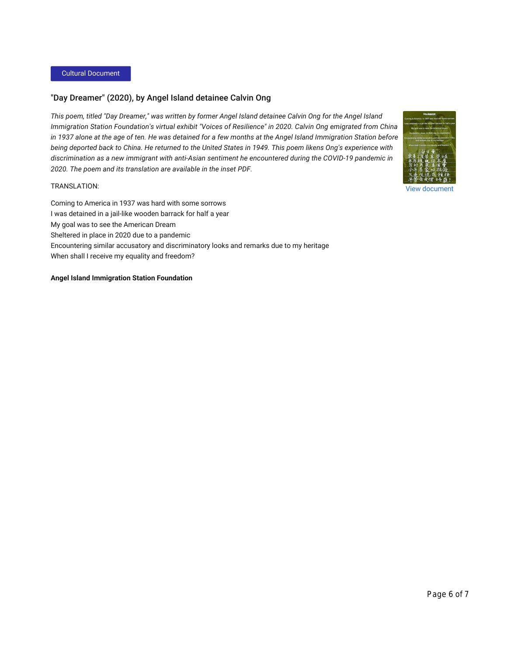#### "Day Dreamer" (2020), by Angel Island detainee Calvin Ong

*This poem, titled "Day Dreamer," was written by former Angel Island detainee Calvin Ong for the Angel Island Immigration Station Foundation's virtual exhibit "Voices of Resilience" in 2020. Calvin Ong emigrated from China in 1937 alone at the age of ten. He was detained for a few months at the Angel Island Immigration Station before being deported back to China. He returned to the United States in 1949. This poem likens Ong's experience with discrimination as a new immigrant with anti-Asian sentiment he encountered during the COVID-19 pandemic in 2020. The poem and its translation are available in the inset PDF.*



TRANSLATION:

Coming to America in 1937 was hard with some sorrows I was detained in a jail-like wooden barrack for half a year My goal was to see the American Dream Sheltered in place in 2020 due to a pandemic Encountering similar accusatory and discriminatory looks and remarks due to my heritage When shall I receive my equality and freedom?

**Angel Island Immigration Station Foundation**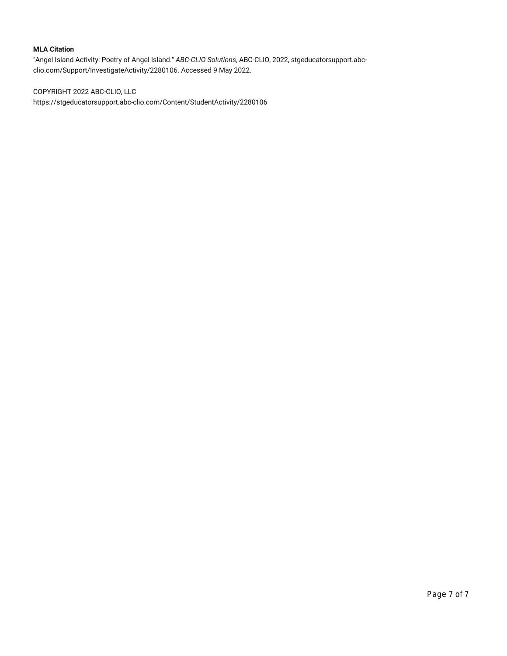#### **MLA Citation**

"Angel Island Activity: Poetry of Angel Island." *ABC-CLIO Solutions*, ABC-CLIO, 2022, stgeducatorsupport.abcclio.com/Support/InvestigateActivity/2280106. Accessed 9 May 2022.

COPYRIGHT 2022 ABC-CLIO, LLC https://stgeducatorsupport.abc-clio.com/Content/StudentActivity/2280106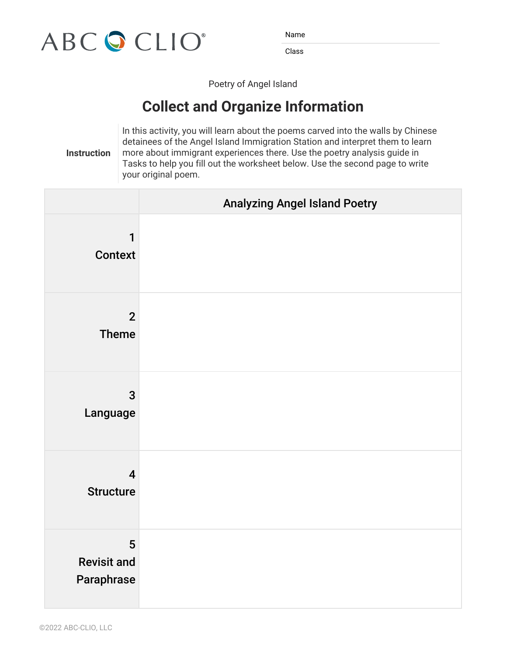

Name Name Name Name

Class Name Class Class

Poetry of Angel Island

## **Collect and Organize Information Collect and Organize Information**

detainees of the Angel Island Immigration Station and interpret them to learn detaillees of the Anger island immigration station and interpret them to lea<br>more about immigrant experiences there. Use the poetry analysis guide in **Instruction** In this activity, you will learn about the poems carved into the walls by Chinese Tasks to help you fill out the worksheet below. Use the second page to write your original poem.

|                                                    | <b>Analyzing Angel Island Poetry</b> |
|----------------------------------------------------|--------------------------------------|
| 1<br><b>Context</b>                                |                                      |
| $\overline{2}$<br><b>Theme</b>                     |                                      |
| $\mathbf{3}$<br>Language                           |                                      |
| $\overline{\mathbf{4}}$<br><b>Structure</b>        |                                      |
| $5\phantom{1}$<br><b>Revisit and</b><br>Paraphrase |                                      |